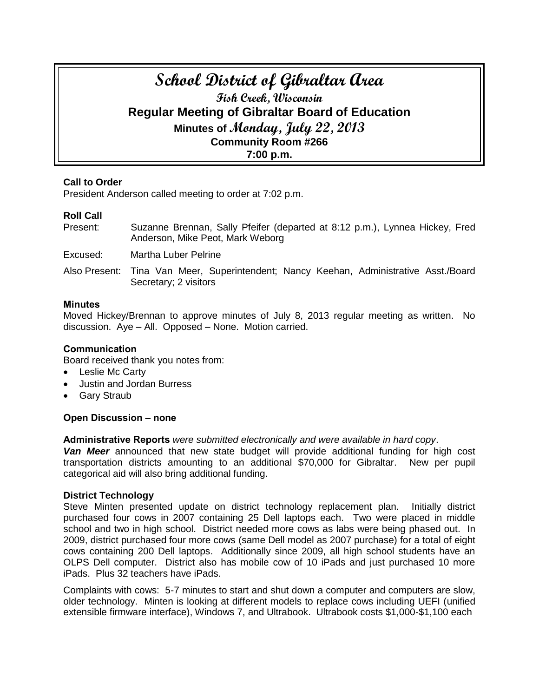# **School District of Gibraltar Area Fish Creek, Wisconsin Regular Meeting of Gibraltar Board of Education Minutes of Monday, July 22, 2013 Community Room #266 7:00 p.m.**

# **Call to Order**

President Anderson called meeting to order at 7:02 p.m.

# **Roll Call**

Present: Suzanne Brennan, Sally Pfeifer (departed at 8:12 p.m.), Lynnea Hickey, Fred Anderson, Mike Peot, Mark Weborg

Excused: Martha Luber Pelrine

Also Present: Tina Van Meer, Superintendent; Nancy Keehan, Administrative Asst./Board Secretary; 2 visitors

# **Minutes**

Moved Hickey/Brennan to approve minutes of July 8, 2013 regular meeting as written. No discussion. Aye – All. Opposed – None. Motion carried.

#### **Communication**

Board received thank you notes from:

- Leslie Mc Carty
- Justin and Jordan Burress
- Gary Straub

# **Open Discussion – none**

**Administrative Reports** *were submitted electronically and were available in hard copy*.

*Van Meer* announced that new state budget will provide additional funding for high cost transportation districts amounting to an additional \$70,000 for Gibraltar. New per pupil categorical aid will also bring additional funding.

#### **District Technology**

Steve Minten presented update on district technology replacement plan. Initially district purchased four cows in 2007 containing 25 Dell laptops each. Two were placed in middle school and two in high school. District needed more cows as labs were being phased out. In 2009, district purchased four more cows (same Dell model as 2007 purchase) for a total of eight cows containing 200 Dell laptops. Additionally since 2009, all high school students have an OLPS Dell computer. District also has mobile cow of 10 iPads and just purchased 10 more iPads. Plus 32 teachers have iPads.

Complaints with cows: 5-7 minutes to start and shut down a computer and computers are slow, older technology. Minten is looking at different models to replace cows including UEFI (unified extensible firmware interface), Windows 7, and Ultrabook. Ultrabook costs \$1,000-\$1,100 each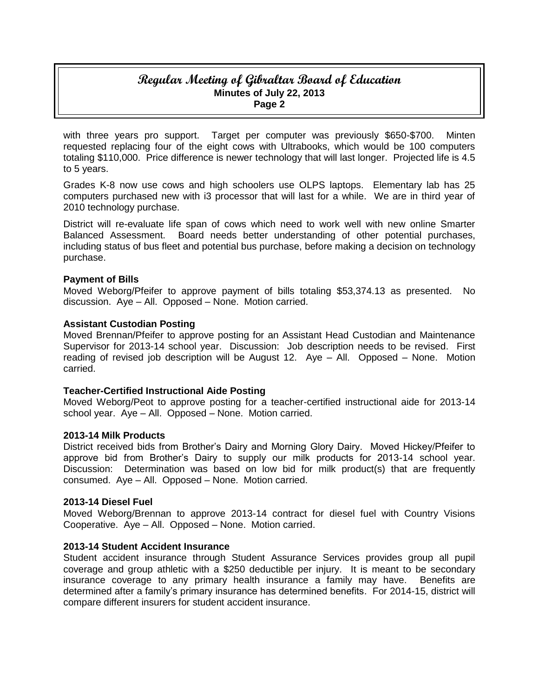# **Regular Meeting of Gibraltar Board of Education Minutes of July 22, 2013 Page 2**

with three years pro support. Target per computer was previously \$650-\$700. Minten requested replacing four of the eight cows with Ultrabooks, which would be 100 computers totaling \$110,000. Price difference is newer technology that will last longer. Projected life is 4.5 to 5 years.

Grades K-8 now use cows and high schoolers use OLPS laptops. Elementary lab has 25 computers purchased new with i3 processor that will last for a while. We are in third year of 2010 technology purchase.

District will re-evaluate life span of cows which need to work well with new online Smarter Balanced Assessment. Board needs better understanding of other potential purchases, including status of bus fleet and potential bus purchase, before making a decision on technology purchase.

# **Payment of Bills**

Moved Weborg/Pfeifer to approve payment of bills totaling \$53,374.13 as presented. No discussion. Aye – All. Opposed – None. Motion carried.

# **Assistant Custodian Posting**

Moved Brennan/Pfeifer to approve posting for an Assistant Head Custodian and Maintenance Supervisor for 2013-14 school year. Discussion: Job description needs to be revised. First reading of revised job description will be August 12. Aye – All. Opposed – None. Motion carried.

#### **Teacher-Certified Instructional Aide Posting**

Moved Weborg/Peot to approve posting for a teacher-certified instructional aide for 2013-14 school year. Aye – All. Opposed – None. Motion carried.

#### **2013-14 Milk Products**

District received bids from Brother's Dairy and Morning Glory Dairy. Moved Hickey/Pfeifer to approve bid from Brother's Dairy to supply our milk products for 2013-14 school year. Discussion: Determination was based on low bid for milk product(s) that are frequently consumed. Aye – All. Opposed – None. Motion carried.

#### **2013-14 Diesel Fuel**

Moved Weborg/Brennan to approve 2013-14 contract for diesel fuel with Country Visions Cooperative. Aye – All. Opposed – None. Motion carried.

#### **2013-14 Student Accident Insurance**

Student accident insurance through Student Assurance Services provides group all pupil coverage and group athletic with a \$250 deductible per injury. It is meant to be secondary insurance coverage to any primary health insurance a family may have. Benefits are determined after a family's primary insurance has determined benefits. For 2014-15, district will compare different insurers for student accident insurance.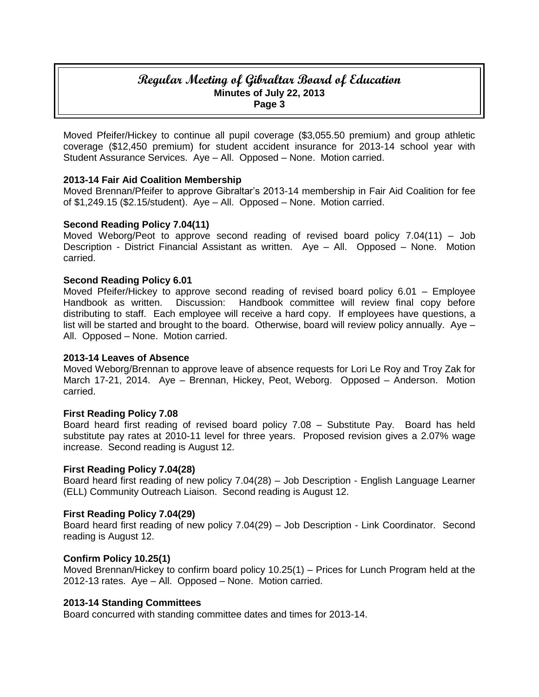# **Regular Meeting of Gibraltar Board of Education Minutes of July 22, 2013 Page 3**

Moved Pfeifer/Hickey to continue all pupil coverage (\$3,055.50 premium) and group athletic coverage (\$12,450 premium) for student accident insurance for 2013-14 school year with Student Assurance Services. Aye – All. Opposed – None. Motion carried.

# **2013-14 Fair Aid Coalition Membership**

Moved Brennan/Pfeifer to approve Gibraltar's 2013-14 membership in Fair Aid Coalition for fee of \$1,249.15 (\$2.15/student). Aye – All. Opposed – None. Motion carried.

#### **Second Reading Policy 7.04(11)**

Moved Weborg/Peot to approve second reading of revised board policy 7.04(11) – Job Description - District Financial Assistant as written. Aye – All. Opposed – None. Motion carried.

#### **Second Reading Policy 6.01**

Moved Pfeifer/Hickey to approve second reading of revised board policy 6.01 – Employee Handbook as written. Discussion: Handbook committee will review final copy before distributing to staff. Each employee will receive a hard copy. If employees have questions, a list will be started and brought to the board. Otherwise, board will review policy annually. Aye – All. Opposed – None. Motion carried.

#### **2013-14 Leaves of Absence**

Moved Weborg/Brennan to approve leave of absence requests for Lori Le Roy and Troy Zak for March 17-21, 2014. Aye – Brennan, Hickey, Peot, Weborg. Opposed – Anderson. Motion carried.

#### **First Reading Policy 7.08**

Board heard first reading of revised board policy 7.08 – Substitute Pay. Board has held substitute pay rates at 2010-11 level for three years. Proposed revision gives a 2.07% wage increase. Second reading is August 12.

#### **First Reading Policy 7.04(28)**

Board heard first reading of new policy 7.04(28) – Job Description - English Language Learner (ELL) Community Outreach Liaison. Second reading is August 12.

# **First Reading Policy 7.04(29)**

Board heard first reading of new policy 7.04(29) – Job Description - Link Coordinator. Second reading is August 12.

#### **Confirm Policy 10.25(1)**

Moved Brennan/Hickey to confirm board policy 10.25(1) – Prices for Lunch Program held at the 2012-13 rates. Aye – All. Opposed – None. Motion carried.

#### **2013-14 Standing Committees**

Board concurred with standing committee dates and times for 2013-14.